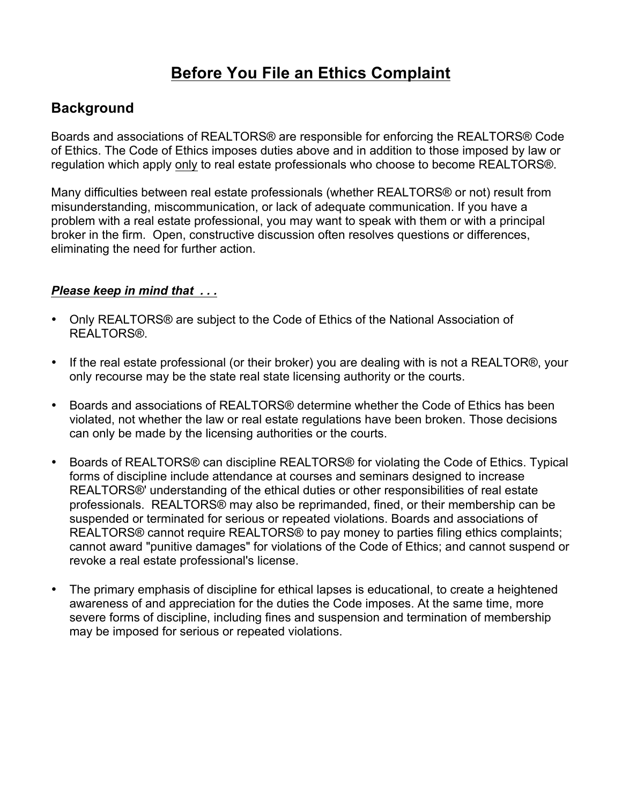# **Before You File an Ethics Complaint**

#### **Background**

Boards and associations of REALTORS® are responsible for enforcing the REALTORS® Code of Ethics. The Code of Ethics imposes duties above and in addition to those imposed by law or regulation which apply only to real estate professionals who choose to become REALTORS®.

Many difficulties between real estate professionals (whether REALTORS® or not) result from misunderstanding, miscommunication, or lack of adequate communication. If you have a problem with a real estate professional, you may want to speak with them or with a principal broker in the firm. Open, constructive discussion often resolves questions or differences, eliminating the need for further action.

#### *Please keep in mind that . . .*

- Only REALTORS® are subject to the Code of Ethics of the National Association of REALTORS®.
- If the real estate professional (or their broker) you are dealing with is not a REALTOR®, your only recourse may be the state real state licensing authority or the courts.
- Boards and associations of REALTORS® determine whether the Code of Ethics has been violated, not whether the law or real estate regulations have been broken. Those decisions can only be made by the licensing authorities or the courts.
- Boards of REALTORS® can discipline REALTORS® for violating the Code of Ethics. Typical forms of discipline include attendance at courses and seminars designed to increase REALTORS®' understanding of the ethical duties or other responsibilities of real estate professionals. REALTORS® may also be reprimanded, fined, or their membership can be suspended or terminated for serious or repeated violations. Boards and associations of REALTORS® cannot require REALTORS® to pay money to parties filing ethics complaints; cannot award "punitive damages" for violations of the Code of Ethics; and cannot suspend or revoke a real estate professional's license.
- The primary emphasis of discipline for ethical lapses is educational, to create a heightened awareness of and appreciation for the duties the Code imposes. At the same time, more severe forms of discipline, including fines and suspension and termination of membership may be imposed for serious or repeated violations.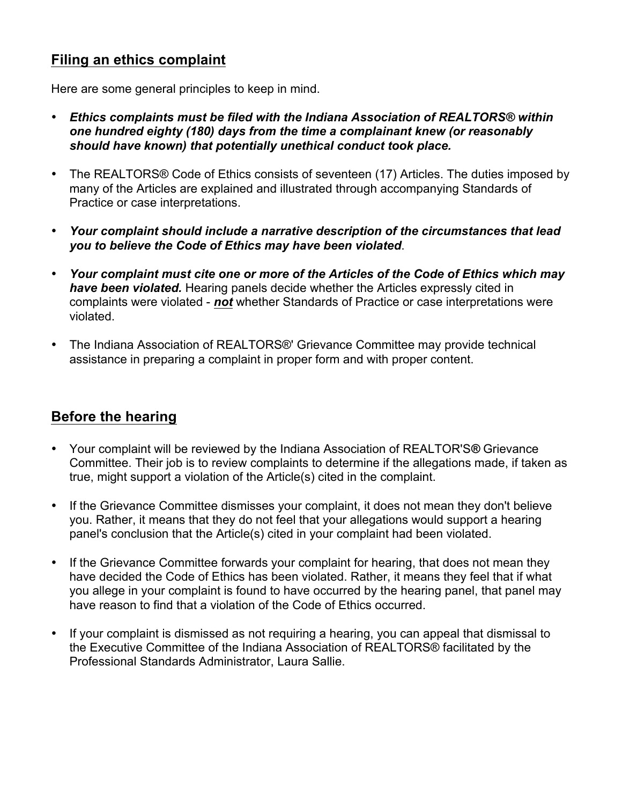### **Filing an ethics complaint**

Here are some general principles to keep in mind.

- *Ethics complaints must be filed with the Indiana Association of REALTORS® within one hundred eighty (180) days from the time a complainant knew (or reasonably should have known) that potentially unethical conduct took place.*
- The REALTORS® Code of Ethics consists of seventeen (17) Articles. The duties imposed by many of the Articles are explained and illustrated through accompanying Standards of Practice or case interpretations.
- *Your complaint should include a narrative description of the circumstances that lead you to believe the Code of Ethics may have been violated*.
- *Your complaint must cite one or more of the Articles of the Code of Ethics which may have been violated.* Hearing panels decide whether the Articles expressly cited in complaints were violated - *not* whether Standards of Practice or case interpretations were violated.
- The Indiana Association of REALTORS®' Grievance Committee may provide technical assistance in preparing a complaint in proper form and with proper content.

#### **Before the hearing**

- Your complaint will be reviewed by the Indiana Association of REALTOR'S*®* Grievance Committee. Their job is to review complaints to determine if the allegations made, if taken as true, might support a violation of the Article(s) cited in the complaint.
- If the Grievance Committee dismisses your complaint, it does not mean they don't believe you. Rather, it means that they do not feel that your allegations would support a hearing panel's conclusion that the Article(s) cited in your complaint had been violated.
- If the Grievance Committee forwards your complaint for hearing, that does not mean they have decided the Code of Ethics has been violated. Rather, it means they feel that if what you allege in your complaint is found to have occurred by the hearing panel, that panel may have reason to find that a violation of the Code of Ethics occurred.
- If your complaint is dismissed as not requiring a hearing, you can appeal that dismissal to the Executive Committee of the Indiana Association of REALTORS® facilitated by the Professional Standards Administrator, Laura Sallie.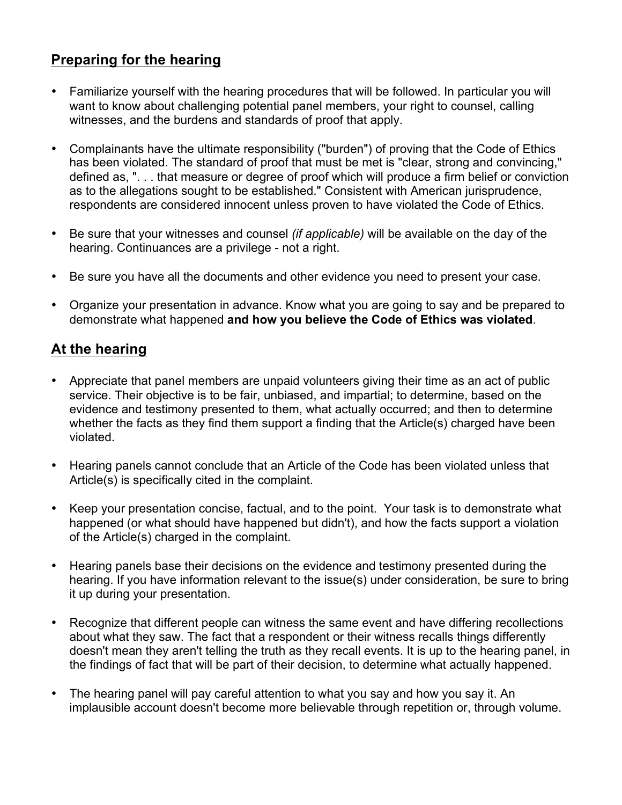## **Preparing for the hearing**

- Familiarize yourself with the hearing procedures that will be followed. In particular you will want to know about challenging potential panel members, your right to counsel, calling witnesses, and the burdens and standards of proof that apply.
- Complainants have the ultimate responsibility ("burden") of proving that the Code of Ethics has been violated. The standard of proof that must be met is "clear, strong and convincing," defined as, ". . . that measure or degree of proof which will produce a firm belief or conviction as to the allegations sought to be established." Consistent with American jurisprudence, respondents are considered innocent unless proven to have violated the Code of Ethics.
- Be sure that your witnesses and counsel *(if applicable)* will be available on the day of the hearing. Continuances are a privilege - not a right.
- Be sure you have all the documents and other evidence you need to present your case.
- Organize your presentation in advance. Know what you are going to say and be prepared to demonstrate what happened **and how you believe the Code of Ethics was violated**.

## **At the hearing**

- Appreciate that panel members are unpaid volunteers giving their time as an act of public service. Their objective is to be fair, unbiased, and impartial; to determine, based on the evidence and testimony presented to them, what actually occurred; and then to determine whether the facts as they find them support a finding that the Article(s) charged have been violated.
- Hearing panels cannot conclude that an Article of the Code has been violated unless that Article(s) is specifically cited in the complaint.
- Keep your presentation concise, factual, and to the point. Your task is to demonstrate what happened (or what should have happened but didn't), and how the facts support a violation of the Article(s) charged in the complaint.
- Hearing panels base their decisions on the evidence and testimony presented during the hearing. If you have information relevant to the issue(s) under consideration, be sure to bring it up during your presentation.
- Recognize that different people can witness the same event and have differing recollections about what they saw. The fact that a respondent or their witness recalls things differently doesn't mean they aren't telling the truth as they recall events. It is up to the hearing panel, in the findings of fact that will be part of their decision, to determine what actually happened.
- The hearing panel will pay careful attention to what you say and how you say it. An implausible account doesn't become more believable through repetition or, through volume.